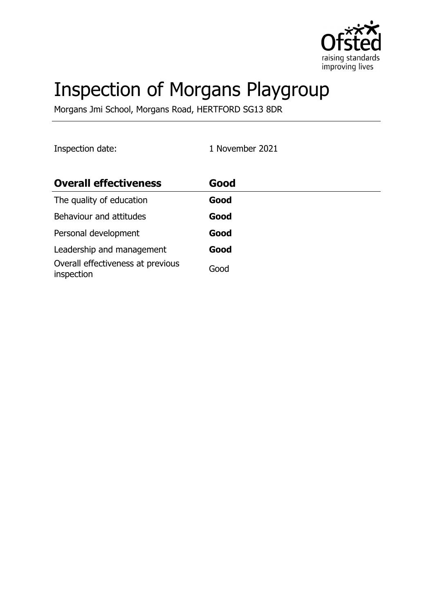

# Inspection of Morgans Playgroup

Morgans Jmi School, Morgans Road, HERTFORD SG13 8DR

Inspection date: 1 November 2021

| <b>Overall effectiveness</b>                    | Good |
|-------------------------------------------------|------|
| The quality of education                        | Good |
| Behaviour and attitudes                         | Good |
| Personal development                            | Good |
| Leadership and management                       | Good |
| Overall effectiveness at previous<br>inspection | Good |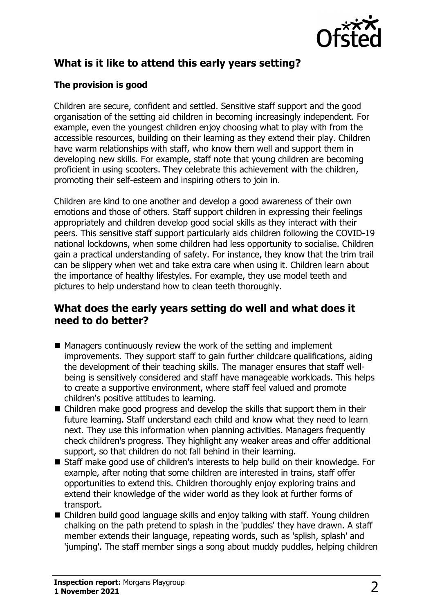

# **What is it like to attend this early years setting?**

## **The provision is good**

Children are secure, confident and settled. Sensitive staff support and the good organisation of the setting aid children in becoming increasingly independent. For example, even the youngest children enjoy choosing what to play with from the accessible resources, building on their learning as they extend their play. Children have warm relationships with staff, who know them well and support them in developing new skills. For example, staff note that young children are becoming proficient in using scooters. They celebrate this achievement with the children, promoting their self-esteem and inspiring others to join in.

Children are kind to one another and develop a good awareness of their own emotions and those of others. Staff support children in expressing their feelings appropriately and children develop good social skills as they interact with their peers. This sensitive staff support particularly aids children following the COVID-19 national lockdowns, when some children had less opportunity to socialise. Children gain a practical understanding of safety. For instance, they know that the trim trail can be slippery when wet and take extra care when using it. Children learn about the importance of healthy lifestyles. For example, they use model teeth and pictures to help understand how to clean teeth thoroughly.

## **What does the early years setting do well and what does it need to do better?**

- $\blacksquare$  Managers continuously review the work of the setting and implement improvements. They support staff to gain further childcare qualifications, aiding the development of their teaching skills. The manager ensures that staff wellbeing is sensitively considered and staff have manageable workloads. This helps to create a supportive environment, where staff feel valued and promote children's positive attitudes to learning.
- $\blacksquare$  Children make good progress and develop the skills that support them in their future learning. Staff understand each child and know what they need to learn next. They use this information when planning activities. Managers frequently check children's progress. They highlight any weaker areas and offer additional support, so that children do not fall behind in their learning.
- Staff make good use of children's interests to help build on their knowledge. For example, after noting that some children are interested in trains, staff offer opportunities to extend this. Children thoroughly enjoy exploring trains and extend their knowledge of the wider world as they look at further forms of transport.
- $\blacksquare$  Children build good language skills and enjoy talking with staff. Young children chalking on the path pretend to splash in the 'puddles' they have drawn. A staff member extends their language, repeating words, such as 'splish, splash' and 'jumping'. The staff member sings a song about muddy puddles, helping children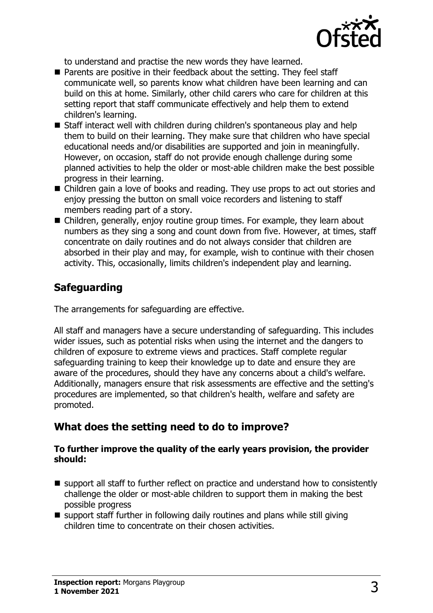

to understand and practise the new words they have learned.

- Parents are positive in their feedback about the setting. They feel staff communicate well, so parents know what children have been learning and can build on this at home. Similarly, other child carers who care for children at this setting report that staff communicate effectively and help them to extend children's learning.
- $\blacksquare$  Staff interact well with children during children's spontaneous play and help them to build on their learning. They make sure that children who have special educational needs and/or disabilities are supported and join in meaningfully. However, on occasion, staff do not provide enough challenge during some planned activities to help the older or most-able children make the best possible progress in their learning.
- $\blacksquare$  Children gain a love of books and reading. They use props to act out stories and enjoy pressing the button on small voice recorders and listening to staff members reading part of a story.
- Children, generally, enjoy routine group times. For example, they learn about numbers as they sing a song and count down from five. However, at times, staff concentrate on daily routines and do not always consider that children are absorbed in their play and may, for example, wish to continue with their chosen activity. This, occasionally, limits children's independent play and learning.

# **Safeguarding**

The arrangements for safeguarding are effective.

All staff and managers have a secure understanding of safeguarding. This includes wider issues, such as potential risks when using the internet and the dangers to children of exposure to extreme views and practices. Staff complete regular safeguarding training to keep their knowledge up to date and ensure they are aware of the procedures, should they have any concerns about a child's welfare. Additionally, managers ensure that risk assessments are effective and the setting's procedures are implemented, so that children's health, welfare and safety are promoted.

# **What does the setting need to do to improve?**

#### **To further improve the quality of the early years provision, the provider should:**

- $\blacksquare$  support all staff to further reflect on practice and understand how to consistently challenge the older or most-able children to support them in making the best possible progress
- $\blacksquare$  support staff further in following daily routines and plans while still giving children time to concentrate on their chosen activities.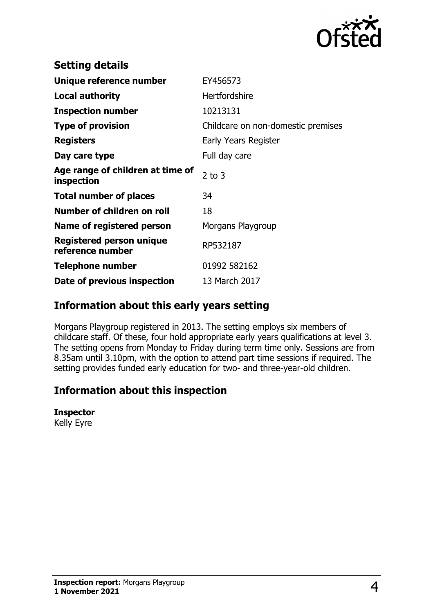

| <b>Setting details</b>                              |                                    |
|-----------------------------------------------------|------------------------------------|
| Unique reference number                             | EY456573                           |
| <b>Local authority</b>                              | <b>Hertfordshire</b>               |
| <b>Inspection number</b>                            | 10213131                           |
| <b>Type of provision</b>                            | Childcare on non-domestic premises |
| <b>Registers</b>                                    | Early Years Register               |
| Day care type                                       | Full day care                      |
| Age range of children at time of<br>inspection      | $2$ to $3$                         |
| <b>Total number of places</b>                       | 34                                 |
| Number of children on roll                          | 18                                 |
| Name of registered person                           | Morgans Playgroup                  |
| <b>Registered person unique</b><br>reference number | RP532187                           |
| Telephone number                                    | 01992 582162                       |
| Date of previous inspection                         | 13 March 2017                      |

## **Information about this early years setting**

Morgans Playgroup registered in 2013. The setting employs six members of childcare staff. Of these, four hold appropriate early years qualifications at level 3. The setting opens from Monday to Friday during term time only. Sessions are from 8.35am until 3.10pm, with the option to attend part time sessions if required. The setting provides funded early education for two- and three-year-old children.

# **Information about this inspection**

#### **Inspector**

Kelly Eyre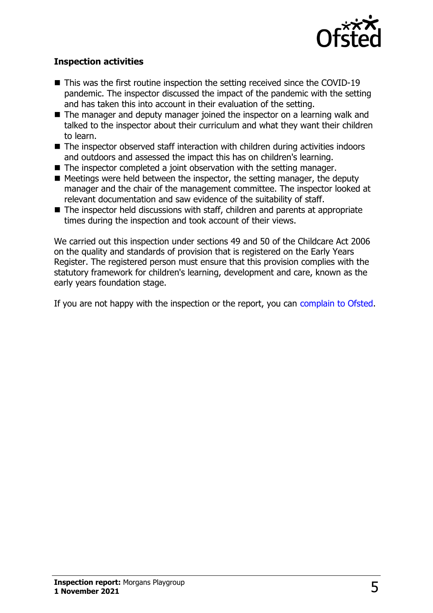

### **Inspection activities**

- $\blacksquare$  This was the first routine inspection the setting received since the COVID-19 pandemic. The inspector discussed the impact of the pandemic with the setting and has taken this into account in their evaluation of the setting.
- $\blacksquare$  The manager and deputy manager joined the inspector on a learning walk and talked to the inspector about their curriculum and what they want their children to learn.
- $\blacksquare$  The inspector observed staff interaction with children during activities indoors and outdoors and assessed the impact this has on children's learning.
- $\blacksquare$  The inspector completed a joint observation with the setting manager.
- $\blacksquare$  Meetings were held between the inspector, the setting manager, the deputy manager and the chair of the management committee. The inspector looked at relevant documentation and saw evidence of the suitability of staff.
- $\blacksquare$  The inspector held discussions with staff, children and parents at appropriate times during the inspection and took account of their views.

We carried out this inspection under sections 49 and 50 of the Childcare Act 2006 on the quality and standards of provision that is registered on the Early Years Register. The registered person must ensure that this provision complies with the statutory framework for children's learning, development and care, known as the early years foundation stage.

If you are not happy with the inspection or the report, you can [complain to Ofsted](http://www.gov.uk/complain-ofsted-report).